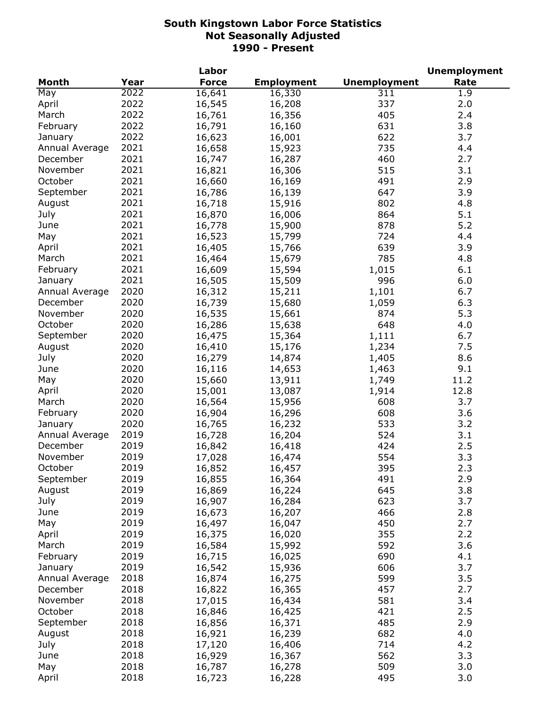|                |      | Labor        |                   |                     | <b>Unemployment</b> |
|----------------|------|--------------|-------------------|---------------------|---------------------|
| <b>Month</b>   | Year | <b>Force</b> | <b>Employment</b> | <b>Unemployment</b> | Rate                |
| May            | 2022 | 16,641       | 16,330            | 311                 | 1.9                 |
| April          | 2022 | 16,545       | 16,208            | 337                 | 2.0                 |
| March          | 2022 | 16,761       | 16,356            | 405                 | 2.4                 |
| February       | 2022 | 16,791       | 16,160            | 631                 | 3.8                 |
| January        | 2022 | 16,623       | 16,001            | 622                 | 3.7                 |
| Annual Average | 2021 | 16,658       | 15,923            | 735                 | 4.4                 |
| December       | 2021 | 16,747       | 16,287            | 460                 | 2.7                 |
| November       | 2021 | 16,821       | 16,306            | 515                 | 3.1                 |
| October        | 2021 | 16,660       | 16,169            | 491                 | 2.9                 |
| September      | 2021 | 16,786       | 16,139            | 647                 | 3.9                 |
| August         | 2021 | 16,718       | 15,916            | 802                 | 4.8                 |
| July           | 2021 | 16,870       | 16,006            | 864                 | 5.1                 |
| June           | 2021 | 16,778       | 15,900            | 878                 | 5.2                 |
| May            | 2021 | 16,523       | 15,799            | 724                 | 4.4                 |
| April          | 2021 | 16,405       | 15,766            | 639                 | 3.9                 |
| March          | 2021 | 16,464       | 15,679            | 785                 | 4.8                 |
| February       | 2021 | 16,609       |                   |                     | 6.1                 |
|                | 2021 |              | 15,594            | 1,015<br>996        |                     |
| January        |      | 16,505       | 15,509            |                     | 6.0                 |
| Annual Average | 2020 | 16,312       | 15,211            | 1,101               | 6.7                 |
| December       | 2020 | 16,739       | 15,680            | 1,059               | 6.3                 |
| November       | 2020 | 16,535       | 15,661            | 874                 | 5.3                 |
| October        | 2020 | 16,286       | 15,638            | 648                 | 4.0                 |
| September      | 2020 | 16,475       | 15,364            | 1,111               | 6.7                 |
| August         | 2020 | 16,410       | 15,176            | 1,234               | 7.5                 |
| July           | 2020 | 16,279       | 14,874            | 1,405               | 8.6                 |
| June           | 2020 | 16,116       | 14,653            | 1,463               | 9.1                 |
| May            | 2020 | 15,660       | 13,911            | 1,749               | 11.2                |
| April          | 2020 | 15,001       | 13,087            | 1,914               | 12.8                |
| March          | 2020 | 16,564       | 15,956            | 608                 | 3.7                 |
| February       | 2020 | 16,904       | 16,296            | 608                 | 3.6                 |
| January        | 2020 | 16,765       | 16,232            | 533                 | 3.2                 |
| Annual Average | 2019 | 16,728       | 16,204            | 524                 | 3.1                 |
| December       | 2019 | 16,842       | 16,418            | 424                 | 2.5                 |
| November       | 2019 | 17,028       | 16,474            | 554                 | 3.3                 |
| October        | 2019 | 16,852       | 16,457            | 395                 | 2.3                 |
| September      | 2019 | 16,855       | 16,364            | 491                 | 2.9                 |
| August         | 2019 | 16,869       | 16,224            | 645                 | 3.8                 |
| July           | 2019 | 16,907       | 16,284            | 623                 | 3.7                 |
| June           | 2019 | 16,673       | 16,207            | 466                 | 2.8                 |
| May            | 2019 | 16,497       | 16,047            | 450                 | 2.7                 |
| April          | 2019 | 16,375       | 16,020            | 355                 | 2.2                 |
| March          | 2019 | 16,584       | 15,992            | 592                 | 3.6                 |
| February       | 2019 | 16,715       | 16,025            | 690                 | 4.1                 |
| January        | 2019 | 16,542       | 15,936            | 606                 | 3.7                 |
| Annual Average | 2018 | 16,874       | 16,275            | 599                 | 3.5                 |
| December       | 2018 | 16,822       | 16,365            | 457                 | 2.7                 |
| November       | 2018 | 17,015       | 16,434            | 581                 | 3.4                 |
| October        | 2018 | 16,846       | 16,425            | 421                 | 2.5                 |
| September      | 2018 | 16,856       | 16,371            | 485                 | 2.9                 |
| August         | 2018 | 16,921       | 16,239            | 682                 | 4.0                 |
| July           | 2018 | 17,120       | 16,406            | 714                 | 4.2                 |
| June           | 2018 | 16,929       | 16,367            | 562                 | 3.3                 |
| May            | 2018 | 16,787       | 16,278            | 509                 | 3.0                 |
| April          | 2018 | 16,723       | 16,228            | 495                 | 3.0                 |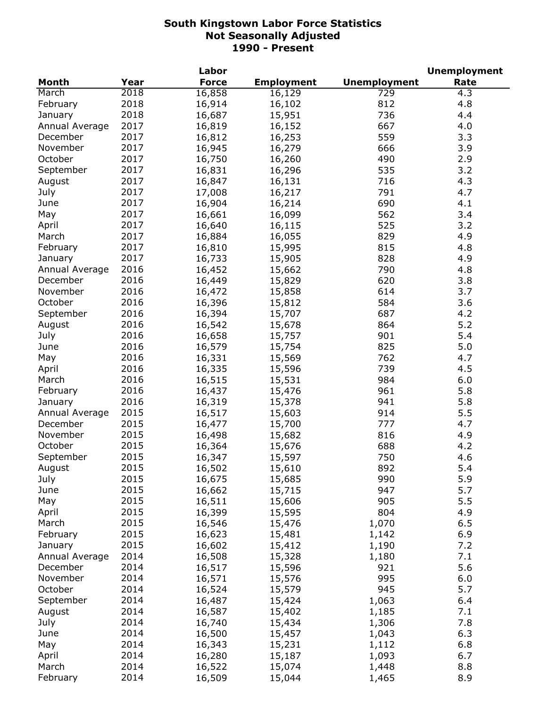|                |      | Labor        |                   |                     | <b>Unemployment</b> |
|----------------|------|--------------|-------------------|---------------------|---------------------|
| <b>Month</b>   | Year | <b>Force</b> | <b>Employment</b> | <b>Unemployment</b> | Rate                |
| March          | 2018 | 16,858       | 16,129            | 729                 | 4.3                 |
| February       | 2018 | 16,914       | 16,102            | 812                 | 4.8                 |
| January        | 2018 | 16,687       | 15,951            | 736                 | 4.4                 |
| Annual Average | 2017 | 16,819       | 16,152            | 667                 | 4.0                 |
| December       | 2017 | 16,812       | 16,253            | 559                 | 3.3                 |
| November       | 2017 | 16,945       | 16,279            | 666                 | 3.9                 |
| October        | 2017 | 16,750       | 16,260            | 490                 | 2.9                 |
| September      | 2017 | 16,831       | 16,296            | 535                 | 3.2                 |
| August         | 2017 | 16,847       | 16,131            | 716                 | 4.3                 |
| July           | 2017 | 17,008       | 16,217            | 791                 | 4.7                 |
| June           | 2017 | 16,904       | 16,214            | 690                 | 4.1                 |
| May            | 2017 | 16,661       | 16,099            | 562                 | 3.4                 |
| April          | 2017 | 16,640       | 16,115            | 525                 | 3.2                 |
|                | 2017 |              |                   | 829                 | 4.9                 |
| March          |      | 16,884       | 16,055            |                     |                     |
| February       | 2017 | 16,810       | 15,995            | 815                 | 4.8                 |
| January        | 2017 | 16,733       | 15,905            | 828                 | 4.9                 |
| Annual Average | 2016 | 16,452       | 15,662            | 790                 | 4.8                 |
| December       | 2016 | 16,449       | 15,829            | 620                 | 3.8                 |
| November       | 2016 | 16,472       | 15,858            | 614                 | 3.7                 |
| October        | 2016 | 16,396       | 15,812            | 584                 | 3.6                 |
| September      | 2016 | 16,394       | 15,707            | 687                 | 4.2                 |
| August         | 2016 | 16,542       | 15,678            | 864                 | 5.2                 |
| July           | 2016 | 16,658       | 15,757            | 901                 | 5.4                 |
| June           | 2016 | 16,579       | 15,754            | 825                 | 5.0                 |
| May            | 2016 | 16,331       | 15,569            | 762                 | 4.7                 |
| April          | 2016 | 16,335       | 15,596            | 739                 | 4.5                 |
| March          | 2016 | 16,515       | 15,531            | 984                 | 6.0                 |
| February       | 2016 | 16,437       | 15,476            | 961                 | 5.8                 |
| January        | 2016 | 16,319       | 15,378            | 941                 | 5.8                 |
| Annual Average | 2015 | 16,517       | 15,603            | 914                 | 5.5                 |
| December       | 2015 | 16,477       | 15,700            | 777                 | 4.7                 |
| November       | 2015 | 16,498       | 15,682            | 816                 | 4.9                 |
| October        | 2015 | 16,364       | 15,676            | 688                 | 4.2                 |
| September      | 2015 | 16,347       | 15,597            | 750                 | 4.6                 |
| August         | 2015 | 16,502       | 15,610            | 892                 | 5.4                 |
| July           | 2015 | 16,675       | 15,685            | 990                 | 5.9                 |
| June           | 2015 | 16,662       | 15,715            | 947                 | 5.7                 |
| May            | 2015 | 16,511       | 15,606            | 905                 | 5.5                 |
| April          | 2015 | 16,399       | 15,595            | 804                 | 4.9                 |
| March          | 2015 | 16,546       | 15,476            | 1,070               | 6.5                 |
| February       | 2015 | 16,623       | 15,481            | 1,142               | 6.9                 |
| January        | 2015 | 16,602       | 15,412            | 1,190               | 7.2                 |
| Annual Average | 2014 | 16,508       | 15,328            | 1,180               | 7.1                 |
| December       | 2014 | 16,517       | 15,596            | 921                 | 5.6                 |
| November       | 2014 | 16,571       |                   | 995                 | 6.0                 |
| October        |      |              | 15,576            |                     |                     |
|                | 2014 | 16,524       | 15,579            | 945                 | 5.7                 |
| September      | 2014 | 16,487       | 15,424            | 1,063               | 6.4                 |
| August         | 2014 | 16,587       | 15,402            | 1,185               | 7.1                 |
| July           | 2014 | 16,740       | 15,434            | 1,306               | 7.8                 |
| June           | 2014 | 16,500       | 15,457            | 1,043               | 6.3                 |
| May            | 2014 | 16,343       | 15,231            | 1,112               | 6.8                 |
| April          | 2014 | 16,280       | 15,187            | 1,093               | 6.7                 |
| March          | 2014 | 16,522       | 15,074            | 1,448               | 8.8                 |
| February       | 2014 | 16,509       | 15,044            | 1,465               | 8.9                 |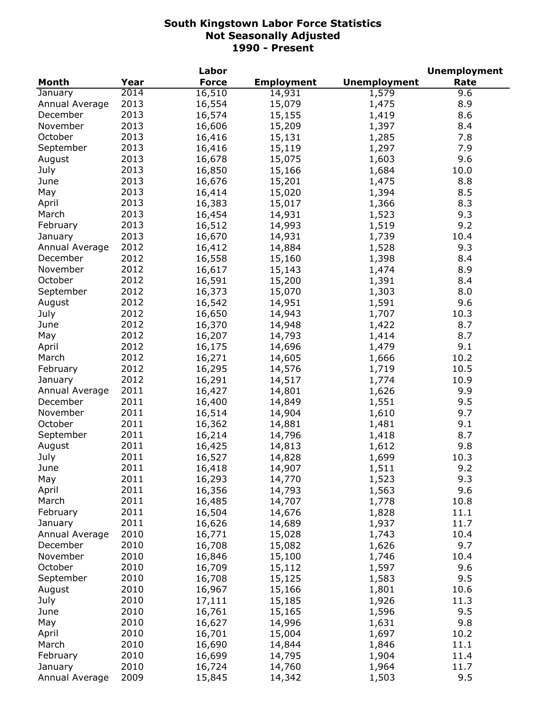|                |      | Labor        |                   |                     | <b>Unemployment</b> |
|----------------|------|--------------|-------------------|---------------------|---------------------|
| <b>Month</b>   | Year | <b>Force</b> | <b>Employment</b> | <b>Unemployment</b> | Rate                |
| January        | 2014 | 16,510       | 14,931            | 1,579               | 9.6                 |
| Annual Average | 2013 | 16,554       | 15,079            | 1,475               | 8.9                 |
| December       | 2013 | 16,574       | 15,155            | 1,419               | 8.6                 |
| November       | 2013 | 16,606       | 15,209            | 1,397               | 8.4                 |
| October        | 2013 | 16,416       | 15,131            | 1,285               | 7.8                 |
| September      | 2013 | 16,416       | 15,119            | 1,297               | 7.9                 |
| August         | 2013 | 16,678       | 15,075            | 1,603               | 9.6                 |
| July           | 2013 | 16,850       | 15,166            | 1,684               | 10.0                |
| June           | 2013 | 16,676       | 15,201            | 1,475               | 8.8                 |
| May            | 2013 | 16,414       | 15,020            | 1,394               | 8.5                 |
| April          | 2013 | 16,383       | 15,017            | 1,366               | 8.3                 |
| March          | 2013 | 16,454       | 14,931            | 1,523               | 9.3                 |
| February       | 2013 | 16,512       | 14,993            | 1,519               | 9.2                 |
| January        | 2013 | 16,670       | 14,931            | 1,739               | 10.4                |
| Annual Average | 2012 | 16,412       | 14,884            | 1,528               | 9.3                 |
| December       | 2012 | 16,558       |                   |                     | 8.4                 |
| November       | 2012 |              | 15,160            | 1,398               | 8.9                 |
|                |      | 16,617       | 15,143            | 1,474               |                     |
| October        | 2012 | 16,591       | 15,200            | 1,391               | 8.4                 |
| September      | 2012 | 16,373       | 15,070            | 1,303               | 8.0                 |
| August         | 2012 | 16,542       | 14,951            | 1,591               | 9.6                 |
| July           | 2012 | 16,650       | 14,943            | 1,707               | 10.3                |
| June           | 2012 | 16,370       | 14,948            | 1,422               | 8.7                 |
| May            | 2012 | 16,207       | 14,793            | 1,414               | 8.7                 |
| April          | 2012 | 16,175       | 14,696            | 1,479               | 9.1                 |
| March          | 2012 | 16,271       | 14,605            | 1,666               | 10.2                |
| February       | 2012 | 16,295       | 14,576            | 1,719               | 10.5                |
| January        | 2012 | 16,291       | 14,517            | 1,774               | 10.9                |
| Annual Average | 2011 | 16,427       | 14,801            | 1,626               | 9.9                 |
| December       | 2011 | 16,400       | 14,849            | 1,551               | 9.5                 |
| November       | 2011 | 16,514       | 14,904            | 1,610               | 9.7                 |
| October        | 2011 | 16,362       | 14,881            | 1,481               | 9.1                 |
| September      | 2011 | 16,214       | 14,796            | 1,418               | 8.7                 |
| August         | 2011 | 16,425       | 14,813            | 1,612               | 9.8                 |
| July           | 2011 | 16,527       | 14,828            | 1,699               | 10.3                |
| June           | 2011 | 16,418       | 14,907            | 1,511               | 9.2                 |
| May            | 2011 | 16,293       | 14,770            | 1,523               | 9.3                 |
| April          | 2011 | 16,356       | 14,793            | 1,563               | 9.6                 |
| March          | 2011 | 16,485       | 14,707            | 1,778               | 10.8                |
| February       | 2011 | 16,504       | 14,676            | 1,828               | 11.1                |
| January        | 2011 | 16,626       | 14,689            | 1,937               | 11.7                |
| Annual Average | 2010 | 16,771       | 15,028            | 1,743               | 10.4                |
| December       | 2010 | 16,708       | 15,082            | 1,626               | 9.7                 |
| November       | 2010 | 16,846       | 15,100            | 1,746               | 10.4                |
| October        | 2010 | 16,709       | 15,112            | 1,597               | 9.6                 |
| September      | 2010 | 16,708       | 15,125            | 1,583               | 9.5                 |
| August         | 2010 | 16,967       | 15,166            | 1,801               | 10.6                |
| July           | 2010 | 17,111       | 15,185            | 1,926               | 11.3                |
| June           | 2010 | 16,761       | 15,165            | 1,596               | 9.5                 |
| May            | 2010 | 16,627       | 14,996            | 1,631               | 9.8                 |
| April          | 2010 | 16,701       | 15,004            | 1,697               | 10.2                |
| March          | 2010 | 16,690       | 14,844            | 1,846               | 11.1                |
| February       | 2010 |              |                   |                     | 11.4                |
|                | 2010 | 16,699       | 14,795            | 1,904               |                     |
| January        |      | 16,724       | 14,760            | 1,964               | 11.7                |
| Annual Average | 2009 | 15,845       | 14,342            | 1,503               | 9.5                 |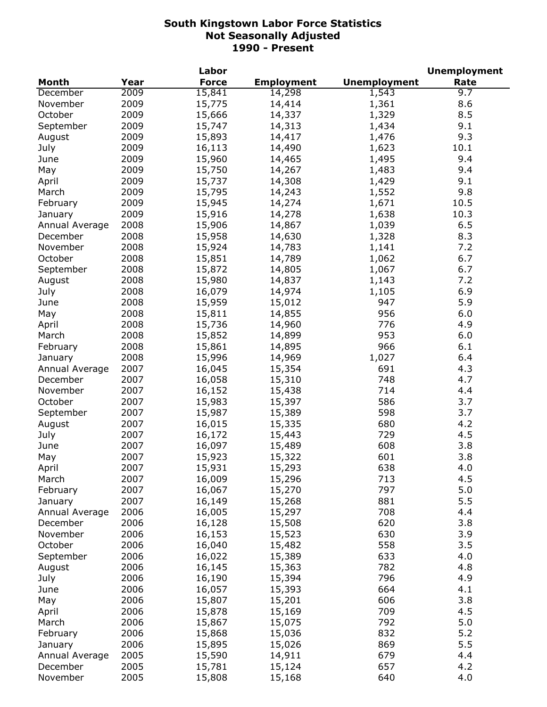|                |      | Labor        |                   |                     | <b>Unemployment</b> |
|----------------|------|--------------|-------------------|---------------------|---------------------|
| <b>Month</b>   | Year | <b>Force</b> | <b>Employment</b> | <b>Unemployment</b> | Rate                |
| December       | 2009 | 15,841       | 14,298            | 1,543               | 9.7                 |
| November       | 2009 | 15,775       | 14,414            | 1,361               | 8.6                 |
| October        | 2009 | 15,666       | 14,337            | 1,329               | 8.5                 |
| September      | 2009 | 15,747       | 14,313            | 1,434               | 9.1                 |
| August         | 2009 | 15,893       | 14,417            | 1,476               | 9.3                 |
| July           | 2009 | 16,113       | 14,490            | 1,623               | 10.1                |
| June           | 2009 | 15,960       | 14,465            | 1,495               | 9.4                 |
| May            | 2009 | 15,750       | 14,267            | 1,483               | 9.4                 |
| April          | 2009 | 15,737       | 14,308            | 1,429               | 9.1                 |
| March          | 2009 | 15,795       | 14,243            | 1,552               | 9.8                 |
| February       | 2009 | 15,945       | 14,274            | 1,671               | 10.5                |
| January        | 2009 | 15,916       | 14,278            | 1,638               | 10.3                |
| Annual Average | 2008 | 15,906       | 14,867            | 1,039               | 6.5                 |
| December       | 2008 | 15,958       | 14,630            | 1,328               | 8.3                 |
| November       | 2008 | 15,924       | 14,783            | 1,141               | 7.2                 |
| October        | 2008 | 15,851       | 14,789            | 1,062               | 6.7                 |
| September      | 2008 |              |                   |                     | 6.7                 |
|                |      | 15,872       | 14,805            | 1,067               |                     |
| August         | 2008 | 15,980       | 14,837            | 1,143               | 7.2                 |
| July           | 2008 | 16,079       | 14,974            | 1,105               | 6.9                 |
| June           | 2008 | 15,959       | 15,012            | 947                 | 5.9                 |
| May            | 2008 | 15,811       | 14,855            | 956                 | 6.0                 |
| April          | 2008 | 15,736       | 14,960            | 776                 | 4.9                 |
| March          | 2008 | 15,852       | 14,899            | 953                 | 6.0                 |
| February       | 2008 | 15,861       | 14,895            | 966                 | 6.1                 |
| January        | 2008 | 15,996       | 14,969            | 1,027               | 6.4                 |
| Annual Average | 2007 | 16,045       | 15,354            | 691                 | 4.3                 |
| December       | 2007 | 16,058       | 15,310            | 748                 | 4.7                 |
| November       | 2007 | 16,152       | 15,438            | 714                 | 4.4                 |
| October        | 2007 | 15,983       | 15,397            | 586                 | 3.7                 |
| September      | 2007 | 15,987       | 15,389            | 598                 | 3.7                 |
| August         | 2007 | 16,015       | 15,335            | 680                 | 4.2                 |
| July           | 2007 | 16,172       | 15,443            | 729                 | 4.5                 |
| June           | 2007 | 16,097       | 15,489            | 608                 | 3.8                 |
| May            | 2007 | 15,923       | 15,322            | 601                 | 3.8                 |
| April          | 2007 | 15,931       | 15,293            | 638                 | 4.0                 |
| March          | 2007 | 16,009       | 15,296            | 713                 | 4.5                 |
| February       | 2007 | 16,067       | 15,270            | 797                 | 5.0                 |
| January        | 2007 | 16,149       | 15,268            | 881                 | 5.5                 |
| Annual Average | 2006 | 16,005       | 15,297            | 708                 | 4.4                 |
| December       | 2006 | 16,128       | 15,508            | 620                 | 3.8                 |
| November       | 2006 | 16,153       | 15,523            | 630                 | 3.9                 |
| October        | 2006 | 16,040       | 15,482            | 558                 | 3.5                 |
| September      | 2006 | 16,022       | 15,389            | 633                 | 4.0                 |
| August         | 2006 | 16,145       | 15,363            | 782                 | 4.8                 |
| July           | 2006 | 16,190       | 15,394            | 796                 | 4.9                 |
| June           | 2006 | 16,057       | 15,393            | 664                 | 4.1                 |
| May            | 2006 | 15,807       | 15,201            | 606                 | 3.8                 |
| April          | 2006 | 15,878       | 15,169            | 709                 | 4.5                 |
| March          | 2006 | 15,867       | 15,075            | 792                 | 5.0                 |
| February       | 2006 | 15,868       | 15,036            | 832                 | 5.2                 |
|                | 2006 | 15,895       |                   | 869                 | 5.5                 |
| January        |      |              | 15,026            | 679                 |                     |
| Annual Average | 2005 | 15,590       | 14,911            | 657                 | 4.4<br>4.2          |
| December       | 2005 | 15,781       | 15,124            |                     |                     |
| November       | 2005 | 15,808       | 15,168            | 640                 | 4.0                 |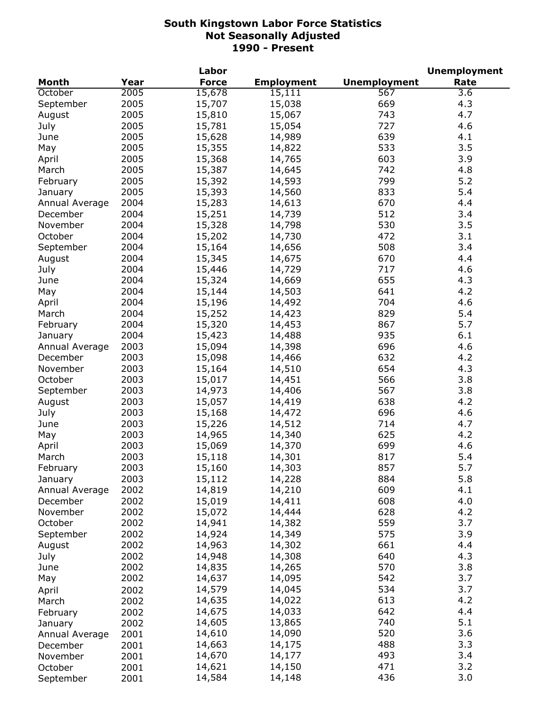|                |      | Labor        |                   |                     | <b>Unemployment</b> |
|----------------|------|--------------|-------------------|---------------------|---------------------|
| Month          | Year | <b>Force</b> | <b>Employment</b> | <b>Unemployment</b> | Rate                |
| October        | 2005 | 15,678       | 15,111            | 567                 | $\overline{3.6}$    |
| September      | 2005 | 15,707       | 15,038            | 669                 | 4.3                 |
| August         | 2005 | 15,810       | 15,067            | 743                 | 4.7                 |
| July           | 2005 | 15,781       | 15,054            | 727                 | 4.6                 |
| June           | 2005 | 15,628       | 14,989            | 639                 | 4.1                 |
| May            | 2005 | 15,355       | 14,822            | 533                 | 3.5                 |
| April          | 2005 | 15,368       | 14,765            | 603                 | 3.9                 |
| March          | 2005 | 15,387       | 14,645            | 742                 | 4.8                 |
| February       | 2005 | 15,392       | 14,593            | 799                 | 5.2                 |
| January        | 2005 | 15,393       | 14,560            | 833                 | 5.4                 |
| Annual Average | 2004 | 15,283       | 14,613            | 670                 | 4.4                 |
| December       | 2004 | 15,251       | 14,739            | 512                 | 3.4                 |
| November       | 2004 | 15,328       |                   | 530                 | 3.5                 |
|                |      |              | 14,798            | 472                 | 3.1                 |
| October        | 2004 | 15,202       | 14,730            |                     |                     |
| September      | 2004 | 15,164       | 14,656            | 508                 | 3.4                 |
| August         | 2004 | 15,345       | 14,675            | 670                 | 4.4                 |
| July           | 2004 | 15,446       | 14,729            | 717                 | 4.6                 |
| June           | 2004 | 15,324       | 14,669            | 655                 | 4.3                 |
| May            | 2004 | 15,144       | 14,503            | 641                 | 4.2                 |
| April          | 2004 | 15,196       | 14,492            | 704                 | 4.6                 |
| March          | 2004 | 15,252       | 14,423            | 829                 | 5.4                 |
| February       | 2004 | 15,320       | 14,453            | 867                 | 5.7                 |
| January        | 2004 | 15,423       | 14,488            | 935                 | 6.1                 |
| Annual Average | 2003 | 15,094       | 14,398            | 696                 | 4.6                 |
| December       | 2003 | 15,098       | 14,466            | 632                 | 4.2                 |
| November       | 2003 | 15,164       | 14,510            | 654                 | 4.3                 |
| October        | 2003 | 15,017       | 14,451            | 566                 | 3.8                 |
| September      | 2003 | 14,973       | 14,406            | 567                 | 3.8                 |
| August         | 2003 | 15,057       | 14,419            | 638                 | 4.2                 |
| July           | 2003 | 15,168       | 14,472            | 696                 | 4.6                 |
| June           | 2003 | 15,226       | 14,512            | 714                 | 4.7                 |
| May            | 2003 | 14,965       | 14,340            | 625                 | 4.2                 |
| April          | 2003 | 15,069       | 14,370            | 699                 | 4.6                 |
| March          | 2003 | 15,118       | 14,301            | 817                 | 5.4                 |
| February       | 2003 | 15,160       | 14,303            | 857                 | 5.7                 |
| January        | 2003 | 15,112       | 14,228            | 884                 | 5.8                 |
| Annual Average | 2002 | 14,819       | 14,210            | 609                 | 4.1                 |
| December       | 2002 | 15,019       | 14,411            | 608                 | 4.0                 |
| November       | 2002 | 15,072       | 14,444            | 628                 | 4.2                 |
| October        | 2002 | 14,941       | 14,382            | 559                 | 3.7                 |
| September      | 2002 | 14,924       | 14,349            | 575                 | 3.9                 |
| August         | 2002 | 14,963       | 14,302            | 661                 | 4.4                 |
| July           | 2002 | 14,948       | 14,308            | 640                 | 4.3                 |
| June           | 2002 | 14,835       | 14,265            | 570                 | 3.8                 |
|                |      | 14,637       |                   | 542                 | 3.7                 |
| May            | 2002 |              | 14,095            |                     |                     |
| April          | 2002 | 14,579       | 14,045            | 534                 | 3.7                 |
| March          | 2002 | 14,635       | 14,022            | 613                 | 4.2                 |
| February       | 2002 | 14,675       | 14,033            | 642                 | 4.4                 |
| January        | 2002 | 14,605       | 13,865            | 740                 | 5.1                 |
| Annual Average | 2001 | 14,610       | 14,090            | 520                 | 3.6                 |
| December       | 2001 | 14,663       | 14,175            | 488                 | 3.3                 |
| November       | 2001 | 14,670       | 14,177            | 493                 | 3.4                 |
| October        | 2001 | 14,621       | 14,150            | 471                 | 3.2                 |
| September      | 2001 | 14,584       | 14,148            | 436                 | 3.0                 |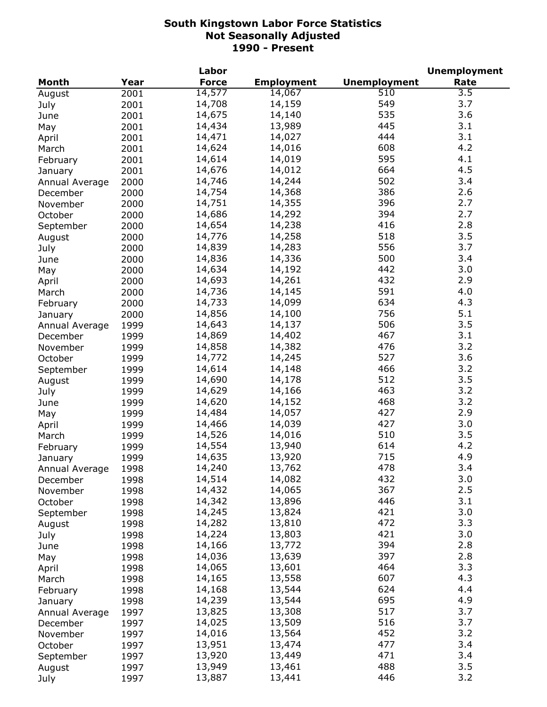|                |      | Labor        |                   |                     | <b>Unemployment</b> |
|----------------|------|--------------|-------------------|---------------------|---------------------|
| <b>Month</b>   | Year | <b>Force</b> | <b>Employment</b> | <b>Unemployment</b> | Rate                |
| August         | 2001 | 14,577       | 14,067            | $\overline{510}$    | $\overline{3.5}$    |
| July           | 2001 | 14,708       | 14,159            | 549                 | 3.7                 |
| June           | 2001 | 14,675       | 14,140            | 535                 | 3.6                 |
| May            | 2001 | 14,434       | 13,989            | 445                 | 3.1                 |
| April          | 2001 | 14,471       | 14,027            | 444                 | 3.1                 |
| March          | 2001 | 14,624       | 14,016            | 608                 | 4.2                 |
| February       | 2001 | 14,614       | 14,019            | 595                 | 4.1                 |
| January        | 2001 | 14,676       | 14,012            | 664                 | 4.5                 |
| Annual Average | 2000 | 14,746       | 14,244            | 502                 | 3.4                 |
| December       | 2000 | 14,754       | 14,368            | 386                 | 2.6                 |
| November       | 2000 | 14,751       | 14,355            | 396                 | 2.7                 |
| October        | 2000 | 14,686       | 14,292            | 394                 | 2.7                 |
| September      | 2000 | 14,654       | 14,238            | 416                 | 2.8                 |
|                |      | 14,776       | 14,258            | 518                 | 3.5                 |
| August         | 2000 |              | 14,283            | 556                 | 3.7                 |
| July           | 2000 | 14,839       |                   | 500                 | 3.4                 |
| June           | 2000 | 14,836       | 14,336            |                     |                     |
| May            | 2000 | 14,634       | 14,192            | 442                 | 3.0                 |
| April          | 2000 | 14,693       | 14,261            | 432                 | 2.9                 |
| March          | 2000 | 14,736       | 14,145            | 591                 | 4.0                 |
| February       | 2000 | 14,733       | 14,099            | 634                 | 4.3                 |
| January        | 2000 | 14,856       | 14,100            | 756                 | 5.1                 |
| Annual Average | 1999 | 14,643       | 14,137            | 506                 | 3.5                 |
| December       | 1999 | 14,869       | 14,402            | 467                 | 3.1                 |
| November       | 1999 | 14,858       | 14,382            | 476                 | 3.2                 |
| October        | 1999 | 14,772       | 14,245            | 527                 | 3.6                 |
| September      | 1999 | 14,614       | 14,148            | 466                 | 3.2                 |
| August         | 1999 | 14,690       | 14,178            | 512                 | 3.5                 |
| July           | 1999 | 14,629       | 14,166            | 463                 | 3.2                 |
| June           | 1999 | 14,620       | 14,152            | 468                 | 3.2                 |
| May            | 1999 | 14,484       | 14,057            | 427                 | 2.9                 |
| April          | 1999 | 14,466       | 14,039            | 427                 | 3.0                 |
| March          | 1999 | 14,526       | 14,016            | 510                 | 3.5                 |
| February       | 1999 | 14,554       | 13,940            | 614                 | 4.2                 |
| January        | 1999 | 14,635       | 13,920            | 715                 | 4.9                 |
| Annual Average | 1998 | 14,240       | 13,762            | 478                 | 3.4                 |
| December       | 1998 | 14,514       | 14,082            | 432                 | 3.0                 |
| November       | 1998 | 14,432       | 14,065            | 367                 | 2.5                 |
| October        | 1998 | 14,342       | 13,896            | 446                 | 3.1                 |
| September      | 1998 | 14,245       | 13,824            | 421                 | 3.0                 |
| August         | 1998 | 14,282       | 13,810            | 472                 | 3.3                 |
| July           | 1998 | 14,224       | 13,803            | 421                 | 3.0                 |
| June           | 1998 | 14,166       | 13,772            | 394                 | 2.8                 |
| May            | 1998 | 14,036       | 13,639            | 397                 | 2.8                 |
|                | 1998 | 14,065       | 13,601            | 464                 | 3.3                 |
| April          |      | 14,165       | 13,558            | 607                 | 4.3                 |
| March          | 1998 | 14,168       | 13,544            | 624                 | 4.4                 |
| February       | 1998 | 14,239       |                   | 695                 | 4.9                 |
| January        | 1998 |              | 13,544            | 517                 | 3.7                 |
| Annual Average | 1997 | 13,825       | 13,308            |                     |                     |
| December       | 1997 | 14,025       | 13,509            | 516                 | 3.7                 |
| November       | 1997 | 14,016       | 13,564            | 452                 | 3.2                 |
| October        | 1997 | 13,951       | 13,474            | 477                 | 3.4                 |
| September      | 1997 | 13,920       | 13,449            | 471                 | 3.4                 |
| August         | 1997 | 13,949       | 13,461            | 488                 | 3.5                 |
| July           | 1997 | 13,887       | 13,441            | 446                 | 3.2                 |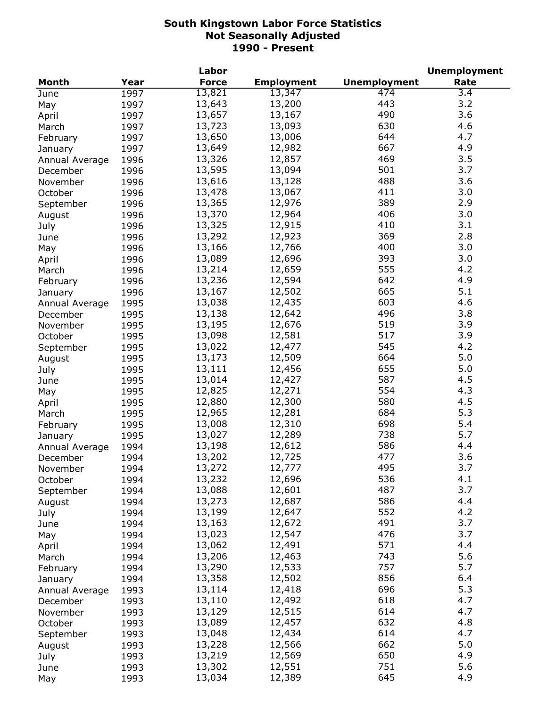|                |      | Labor        |                   |                     | <b>Unemployment</b> |
|----------------|------|--------------|-------------------|---------------------|---------------------|
| <b>Month</b>   | Year | <b>Force</b> | <b>Employment</b> | <b>Unemployment</b> | Rate                |
| June           | 1997 | 13,821       | 13,347            | 474                 | 3.4                 |
| May            | 1997 | 13,643       | 13,200            | 443                 | 3.2                 |
| April          | 1997 | 13,657       | 13,167            | 490                 | 3.6                 |
| March          | 1997 | 13,723       | 13,093            | 630                 | 4.6                 |
| February       | 1997 | 13,650       | 13,006            | 644                 | 4.7                 |
| January        | 1997 | 13,649       | 12,982            | 667                 | 4.9                 |
| Annual Average | 1996 | 13,326       | 12,857            | 469                 | 3.5                 |
| December       | 1996 | 13,595       | 13,094            | 501                 | 3.7                 |
| November       | 1996 | 13,616       | 13,128            | 488                 | 3.6                 |
| October        | 1996 | 13,478       | 13,067            | 411                 | 3.0                 |
|                |      | 13,365       | 12,976            | 389                 | 2.9                 |
| September      | 1996 | 13,370       | 12,964            | 406                 | 3.0                 |
| August         | 1996 |              |                   | 410                 | 3.1                 |
| July           | 1996 | 13,325       | 12,915            |                     |                     |
| June           | 1996 | 13,292       | 12,923            | 369                 | 2.8                 |
| May            | 1996 | 13,166       | 12,766            | 400                 | 3.0                 |
| April          | 1996 | 13,089       | 12,696            | 393                 | 3.0                 |
| March          | 1996 | 13,214       | 12,659            | 555                 | 4.2                 |
| February       | 1996 | 13,236       | 12,594            | 642                 | 4.9                 |
| January        | 1996 | 13,167       | 12,502            | 665                 | 5.1                 |
| Annual Average | 1995 | 13,038       | 12,435            | 603                 | 4.6                 |
| December       | 1995 | 13,138       | 12,642            | 496                 | 3.8                 |
| November       | 1995 | 13,195       | 12,676            | 519                 | 3.9                 |
| October        | 1995 | 13,098       | 12,581            | 517                 | 3.9                 |
| September      | 1995 | 13,022       | 12,477            | 545                 | 4.2                 |
| August         | 1995 | 13,173       | 12,509            | 664                 | 5.0                 |
| July           | 1995 | 13,111       | 12,456            | 655                 | 5.0                 |
| June           | 1995 | 13,014       | 12,427            | 587                 | 4.5                 |
| May            | 1995 | 12,825       | 12,271            | 554                 | 4.3                 |
| April          | 1995 | 12,880       | 12,300            | 580                 | 4.5                 |
| March          | 1995 | 12,965       | 12,281            | 684                 | 5.3                 |
| February       | 1995 | 13,008       | 12,310            | 698                 | 5.4                 |
| January        | 1995 | 13,027       | 12,289            | 738                 | 5.7                 |
| Annual Average | 1994 | 13,198       | 12,612            | 586                 | 4.4                 |
| December       | 1994 | 13,202       | 12,725            | 477                 | 3.6                 |
| November       | 1994 | 13,272       | 12,777            | 495                 | 3.7                 |
| October        | 1994 | 13,232       | 12,696            | 536                 | 4.1                 |
|                | 1994 | 13,088       | 12,601            | 487                 | 3.7                 |
| September      |      | 13,273       | 12,687            | 586                 | 4.4                 |
| August         | 1994 |              | 12,647            | 552                 | 4.2                 |
| July           | 1994 | 13,199       |                   | 491                 | 3.7                 |
| June           | 1994 | 13,163       | 12,672<br>12,547  | 476                 | 3.7                 |
| May            | 1994 | 13,023       |                   |                     |                     |
| April          | 1994 | 13,062       | 12,491            | 571                 | 4.4                 |
| March          | 1994 | 13,206       | 12,463            | 743                 | 5.6                 |
| February       | 1994 | 13,290       | 12,533            | 757                 | 5.7                 |
| January        | 1994 | 13,358       | 12,502            | 856                 | 6.4                 |
| Annual Average | 1993 | 13,114       | 12,418            | 696                 | 5.3                 |
| December       | 1993 | 13,110       | 12,492            | 618                 | 4.7                 |
| November       | 1993 | 13,129       | 12,515            | 614                 | 4.7                 |
| October        | 1993 | 13,089       | 12,457            | 632                 | 4.8                 |
| September      | 1993 | 13,048       | 12,434            | 614                 | 4.7                 |
| August         | 1993 | 13,228       | 12,566            | 662                 | 5.0                 |
| July           | 1993 | 13,219       | 12,569            | 650                 | 4.9                 |
| June           | 1993 | 13,302       | 12,551            | 751                 | 5.6                 |
| May            | 1993 | 13,034       | 12,389            | 645                 | 4.9                 |